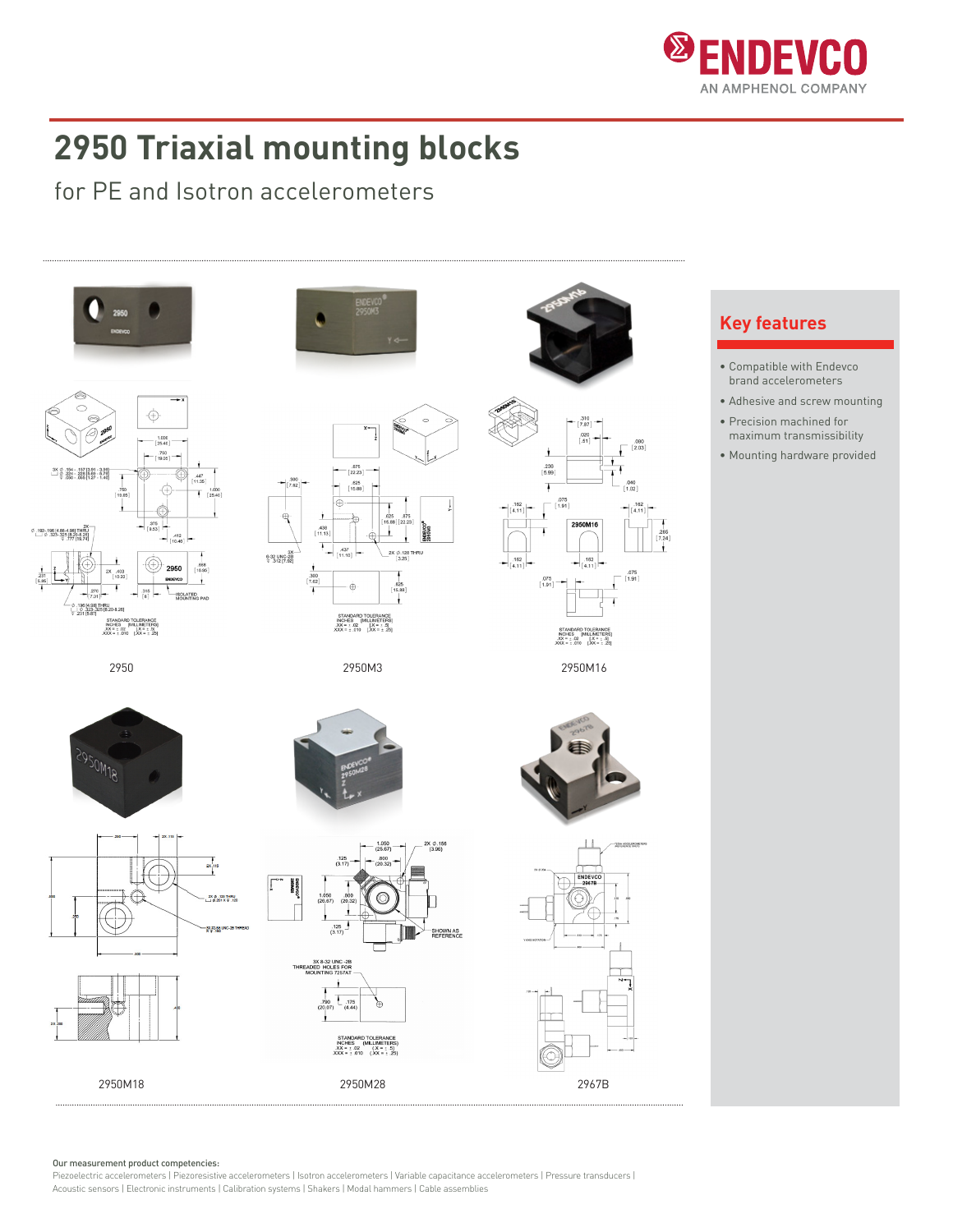

## **2950 Triaxial mounting blocks**

for PE and Isotron accelerometers



Our measurement product competencies:

Piezoelectric accelerometers | Piezoresistive accelerometers | Isotron accelerometers | Variable capacitance accelerometers | Pressure transducers | Acoustic sensors | Electronic instruments | Calibration systems | Shakers | Modal hammers | Cable assemblies